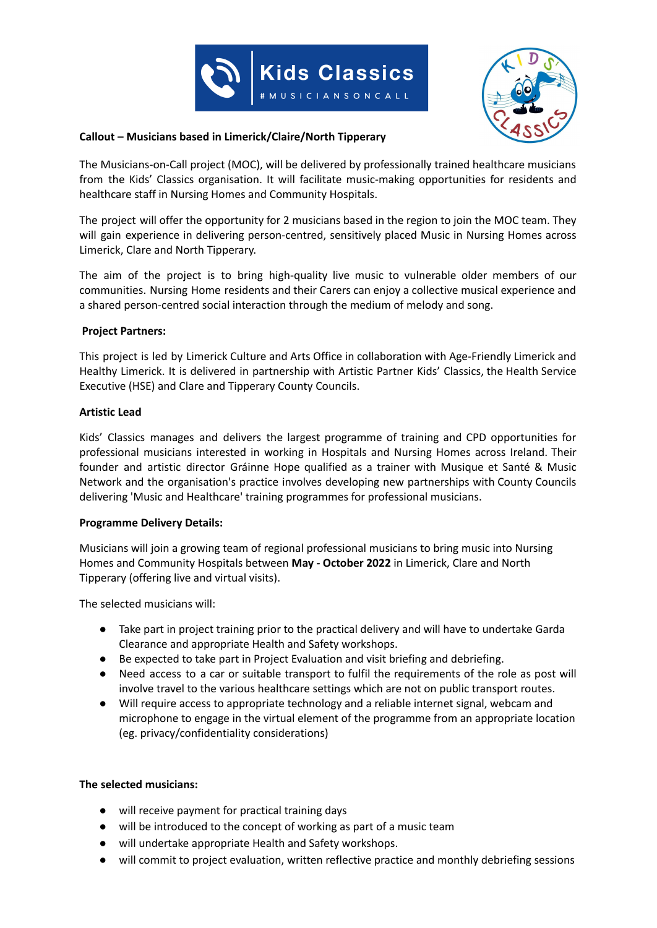



## **Callout – Musicians based in Limerick/Claire/North Tipperary**

The Musicians-on-Call project (MOC), will be delivered by professionally trained healthcare musicians from the Kids' Classics organisation. It will facilitate music-making opportunities for residents and healthcare staff in Nursing Homes and Community Hospitals.

The project will offer the opportunity for 2 musicians based in the region to join the MOC team. They will gain experience in delivering person-centred, sensitively placed Music in Nursing Homes across Limerick, Clare and North Tipperary.

The aim of the project is to bring high-quality live music to vulnerable older members of our communities. Nursing Home residents and their Carers can enjoy a collective musical experience and a shared person-centred social interaction through the medium of melody and song.

### **Project Partners:**

This project is led by Limerick Culture and Arts Office in collaboration with Age-Friendly Limerick and Healthy Limerick. It is delivered in partnership with Artistic Partner Kids' Classics, the Health Service Executive (HSE) and Clare and Tipperary County Councils.

### **Artistic Lead**

Kids' Classics manages and delivers the largest programme of training and CPD opportunities for professional musicians interested in working in Hospitals and Nursing Homes across Ireland. Their founder and artistic director Gráinne Hope qualified as a trainer with Musique et Santé & Music Network and the organisation's practice involves developing new partnerships with County Councils delivering 'Music and Healthcare' training programmes for professional musicians.

### **Programme Delivery Details:**

Musicians will join a growing team of regional professional musicians to bring music into Nursing Homes and Community Hospitals between **May - October 2022** in Limerick, Clare and North Tipperary (offering live and virtual visits).

The selected musicians will:

- Take part in project training prior to the practical delivery and will have to undertake Garda Clearance and appropriate Health and Safety workshops.
- Be expected to take part in Project Evaluation and visit briefing and debriefing.
- Need access to a car or suitable transport to fulfil the requirements of the role as post will involve travel to the various healthcare settings which are not on public transport routes.
- Will require access to appropriate technology and a reliable internet signal, webcam and microphone to engage in the virtual element of the programme from an appropriate location (eg. privacy/confidentiality considerations)

## **The selected musicians:**

- will receive payment for practical training days
- will be introduced to the concept of working as part of a music team
- will undertake appropriate Health and Safety workshops.
- will commit to project evaluation, written reflective practice and monthly debriefing sessions